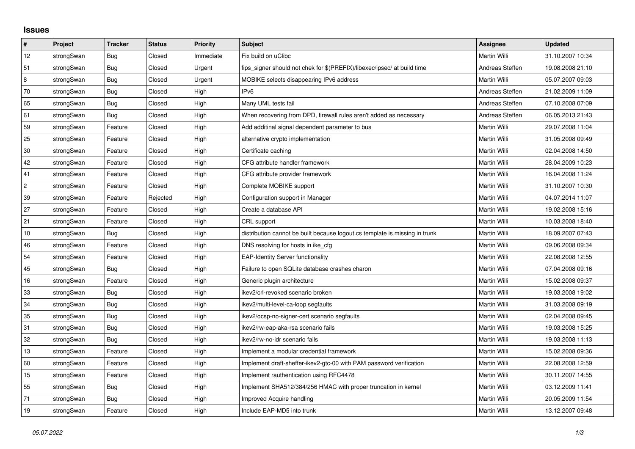## **Issues**

| $\sharp$   | Project    | <b>Tracker</b> | <b>Status</b> | <b>Priority</b> | <b>Subject</b>                                                              | <b>Assignee</b>     | <b>Updated</b>   |
|------------|------------|----------------|---------------|-----------------|-----------------------------------------------------------------------------|---------------------|------------------|
| 12         | strongSwan | Bug            | Closed        | Immediate       | Fix build on uClibc                                                         | Martin Willi        | 31.10.2007 10:34 |
| 51         | strongSwan | Bug            | Closed        | Urgent          | fips signer should not chek for \$(PREFIX)/libexec/ipsec/ at build time     | Andreas Steffen     | 19.08.2008 21:10 |
| 8          | strongSwan | <b>Bug</b>     | Closed        | Urgent          | MOBIKE selects disappearing IPv6 address                                    | Martin Willi        | 05.07.2007 09:03 |
| 70         | strongSwan | <b>Bug</b>     | Closed        | High            | IP <sub>v6</sub>                                                            | Andreas Steffen     | 21.02.2009 11:09 |
| 65         | strongSwan | Bug            | Closed        | High            | Many UML tests fail                                                         | Andreas Steffen     | 07.10.2008 07:09 |
| 61         | strongSwan | Bug            | Closed        | High            | When recovering from DPD, firewall rules aren't added as necessary          | Andreas Steffen     | 06.05.2013 21:43 |
| 59         | strongSwan | Feature        | Closed        | High            | Add additinal signal dependent parameter to bus                             | Martin Willi        | 29.07.2008 11:04 |
| 25         | strongSwan | Feature        | Closed        | High            | alternative crypto implementation                                           | Martin Willi        | 31.05.2008 09:49 |
| $30\,$     | strongSwan | Feature        | Closed        | High            | Certificate caching                                                         | <b>Martin Willi</b> | 02.04.2008 14:50 |
| 42         | strongSwan | Feature        | Closed        | High            | CFG attribute handler framework                                             | Martin Willi        | 28.04.2009 10:23 |
| 41         | strongSwan | Feature        | Closed        | High            | CFG attribute provider framework                                            | Martin Willi        | 16.04.2008 11:24 |
| $\sqrt{2}$ | strongSwan | Feature        | Closed        | High            | Complete MOBIKE support                                                     | <b>Martin Willi</b> | 31.10.2007 10:30 |
| 39         | strongSwan | Feature        | Rejected      | High            | Configuration support in Manager                                            | Martin Willi        | 04.07.2014 11:07 |
| 27         | strongSwan | Feature        | Closed        | High            | Create a database API                                                       | Martin Willi        | 19.02.2008 15:16 |
| 21         | strongSwan | Feature        | Closed        | High            | CRL support                                                                 | Martin Willi        | 10.03.2008 18:40 |
| 10         | strongSwan | Bug            | Closed        | High            | distribution cannot be built because logout.cs template is missing in trunk | Martin Willi        | 18.09.2007 07:43 |
| 46         | strongSwan | Feature        | Closed        | High            | DNS resolving for hosts in ike cfg                                          | Martin Willi        | 09.06.2008 09:34 |
| 54         | strongSwan | Feature        | Closed        | High            | <b>EAP-Identity Server functionality</b>                                    | Martin Willi        | 22.08.2008 12:55 |
| 45         | strongSwan | Bug            | Closed        | High            | Failure to open SQLite database crashes charon                              | Martin Willi        | 07.04.2008 09:16 |
| 16         | strongSwan | Feature        | Closed        | High            | Generic plugin architecture                                                 | Martin Willi        | 15.02.2008 09:37 |
| 33         | strongSwan | <b>Bug</b>     | Closed        | High            | ikev2/crl-revoked scenario broken                                           | Martin Willi        | 19.03.2008 19:02 |
| 34         | strongSwan | Bug            | Closed        | High            | ikev2/multi-level-ca-loop segfaults                                         | Martin Willi        | 31.03.2008 09:19 |
| 35         | strongSwan | <b>Bug</b>     | Closed        | High            | ikev2/ocsp-no-signer-cert scenario segfaults                                | Martin Willi        | 02.04.2008 09:45 |
| 31         | strongSwan | Bug            | Closed        | High            | ikev2/rw-eap-aka-rsa scenario fails                                         | Martin Willi        | 19.03.2008 15:25 |
| 32         | strongSwan | Bug            | Closed        | High            | ikev2/rw-no-idr scenario fails                                              | Martin Willi        | 19.03.2008 11:13 |
| 13         | strongSwan | Feature        | Closed        | High            | Implement a modular credential framework                                    | Martin Willi        | 15.02.2008 09:36 |
| 60         | strongSwan | Feature        | Closed        | High            | Implement draft-sheffer-ikev2-gtc-00 with PAM password verification         | Martin Willi        | 22.08.2008 12:59 |
| $15\,$     | strongSwan | Feature        | Closed        | High            | Implement rauthentication using RFC4478                                     | Martin Willi        | 30.11.2007 14:55 |
| 55         | strongSwan | Bug            | Closed        | High            | Implement SHA512/384/256 HMAC with proper truncation in kernel              | Martin Willi        | 03.12.2009 11:41 |
| 71         | strongSwan | Bug            | Closed        | High            | Improved Acquire handling                                                   | Martin Willi        | 20.05.2009 11:54 |
| 19         | strongSwan | Feature        | Closed        | High            | Include EAP-MD5 into trunk                                                  | Martin Willi        | 13.12.2007 09:48 |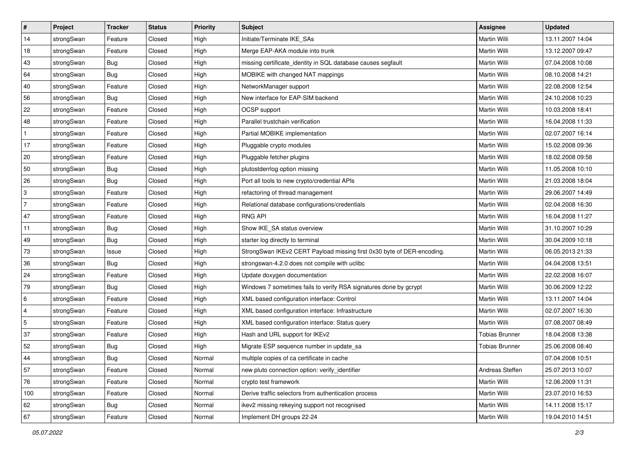| $\vert$ #    | Project    | <b>Tracker</b> | <b>Status</b> | <b>Priority</b> | <b>Subject</b>                                                         | <b>Assignee</b>       | <b>Updated</b>   |
|--------------|------------|----------------|---------------|-----------------|------------------------------------------------------------------------|-----------------------|------------------|
| 14           | strongSwan | Feature        | Closed        | High            | Initiate/Terminate IKE SAs                                             | Martin Willi          | 13.11.2007 14:04 |
| 18           | strongSwan | Feature        | Closed        | High            | Merge EAP-AKA module into trunk                                        | <b>Martin Willi</b>   | 13.12.2007 09:47 |
| 43           | strongSwan | <b>Bug</b>     | Closed        | High            | missing certificate_identity in SQL database causes segfault           | Martin Willi          | 07.04.2008 10:08 |
| 64           | strongSwan | <b>Bug</b>     | Closed        | High            | MOBIKE with changed NAT mappings                                       | Martin Willi          | 08.10.2008 14:21 |
| 40           | strongSwan | Feature        | Closed        | High            | NetworkManager support                                                 | Martin Willi          | 22.08.2008 12:54 |
| 56           | strongSwan | <b>Bug</b>     | Closed        | High            | New interface for EAP-SIM backend                                      | Martin Willi          | 24.10.2008 10:23 |
| 22           | strongSwan | Feature        | Closed        | High            | OCSP support                                                           | Martin Willi          | 10.03.2008 18:41 |
| 48           | strongSwan | Feature        | Closed        | High            | Parallel trustchain verification                                       | Martin Willi          | 16.04.2008 11:33 |
| $\mathbf{1}$ | strongSwan | Feature        | Closed        | High            | Partial MOBIKE implementation                                          | Martin Willi          | 02.07.2007 16:14 |
| 17           | strongSwan | Feature        | Closed        | High            | Pluggable crypto modules                                               | Martin Willi          | 15.02.2008 09:36 |
| 20           | strongSwan | Feature        | Closed        | High            | Pluggable fetcher plugins                                              | Martin Willi          | 18.02.2008 09:58 |
| 50           | strongSwan | <b>Bug</b>     | Closed        | High            | plutostderrlog option missing                                          | Martin Willi          | 11.05.2008 10:10 |
| 26           | strongSwan | Bug            | Closed        | High            | Port all tools to new crypto/credential APIs                           | <b>Martin Willi</b>   | 21.03.2008 18:04 |
| 3            | strongSwan | Feature        | Closed        | High            | refactoring of thread management                                       | Martin Willi          | 29.06.2007 14:49 |
| 7            | strongSwan | Feature        | Closed        | High            | Relational database configurations/credentials                         | <b>Martin Willi</b>   | 02.04.2008 16:30 |
| 47           | strongSwan | Feature        | Closed        | High            | <b>RNG API</b>                                                         | Martin Willi          | 16.04.2008 11:27 |
| 11           | strongSwan | <b>Bug</b>     | Closed        | High            | Show IKE SA status overview                                            | <b>Martin Willi</b>   | 31.10.2007 10:29 |
| 49           | strongSwan | Bug            | Closed        | High            | starter log directly to terminal                                       | Martin Willi          | 30.04.2009 10:18 |
| 73           | strongSwan | Issue          | Closed        | High            | StrongSwan IKEv2 CERT Payload missing first 0x30 byte of DER-encoding. | Martin Willi          | 06.05.2013 21:33 |
| 36           | strongSwan | Bug            | Closed        | High            | strongswan-4.2.0 does not compile with uclibc                          | Martin Willi          | 04.04.2008 13:51 |
| 24           | strongSwan | Feature        | Closed        | High            | Update doxygen documentation                                           | Martin Willi          | 22.02.2008 16:07 |
| 79           | strongSwan | Bug            | Closed        | High            | Windows 7 sometimes fails to verify RSA signatures done by gcrypt      | Martin Willi          | 30.06.2009 12:22 |
| 6            | strongSwan | Feature        | Closed        | High            | XML based configuration interface: Control                             | Martin Willi          | 13.11.2007 14:04 |
| 4            | strongSwan | Feature        | Closed        | High            | XML based configuration interface: Infrastructure                      | Martin Willi          | 02.07.2007 16:30 |
| 5            | strongSwan | Feature        | Closed        | High            | XML based configuration interface: Status query                        | Martin Willi          | 07.08.2007 08:49 |
| 37           | strongSwan | Feature        | Closed        | High            | Hash and URL support for IKEv2                                         | <b>Tobias Brunner</b> | 18.04.2008 13:38 |
| 52           | strongSwan | Bug            | Closed        | High            | Migrate ESP sequence number in update_sa                               | <b>Tobias Brunner</b> | 25.06.2008 08:40 |
| 44           | strongSwan | <b>Bug</b>     | Closed        | Normal          | multiple copies of ca certificate in cache                             |                       | 07.04.2008 10:51 |
| 57           | strongSwan | Feature        | Closed        | Normal          | new pluto connection option: verify identifier                         | Andreas Steffen       | 25.07.2013 10:07 |
| 76           | strongSwan | Feature        | Closed        | Normal          | crypto test framework                                                  | Martin Willi          | 12.06.2009 11:31 |
| 100          | strongSwan | Feature        | Closed        | Normal          | Derive traffic selectors from authentication process                   | Martin Willi          | 23.07.2010 16:53 |
| 62           | strongSwan | Bug            | Closed        | Normal          | ikev2 missing rekeying support not recognised                          | Martin Willi          | 14.11.2008 15:17 |
| 67           | strongSwan | Feature        | Closed        | Normal          | Implement DH groups 22-24                                              | Martin Willi          | 19.04.2010 14:51 |